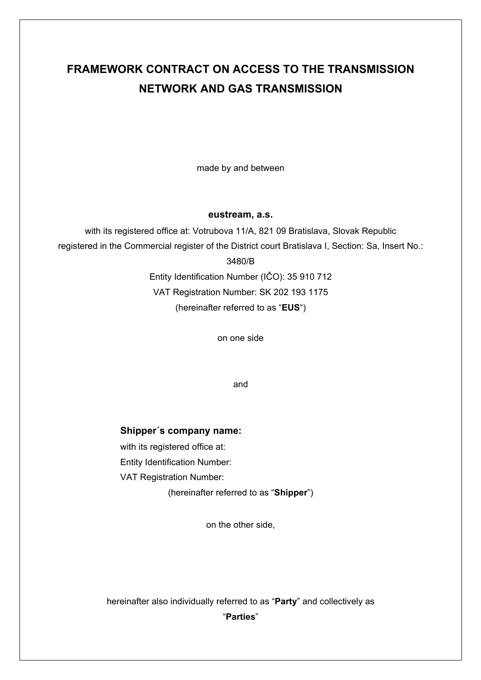# **FRAMEWORK CONTRACT ON ACCESS TO THE TRANSMISSION NETWORK AND GAS TRANSMISSION**

made by and between

#### **eustream, a.s.**

with its registered office at: Votrubova 11/A, 821 09 Bratislava, Slovak Republic registered in the Commercial register of the District court Bratislava I, Section: Sa, Insert No.: 3480/B Entity Identification Number (IČO): 35 910 712

VAT Registration Number: SK 202 193 1175 (hereinafter referred to as "**EUS**")

on one side

and

#### **Shipper´s company name:**

with its registered office at:

Entity Identification Number:

VAT Registration Number:

(hereinafter referred to as "**Shipper**")

on the other side,

hereinafter also individually referred to as "**Party**" and collectively as

"**Parties**"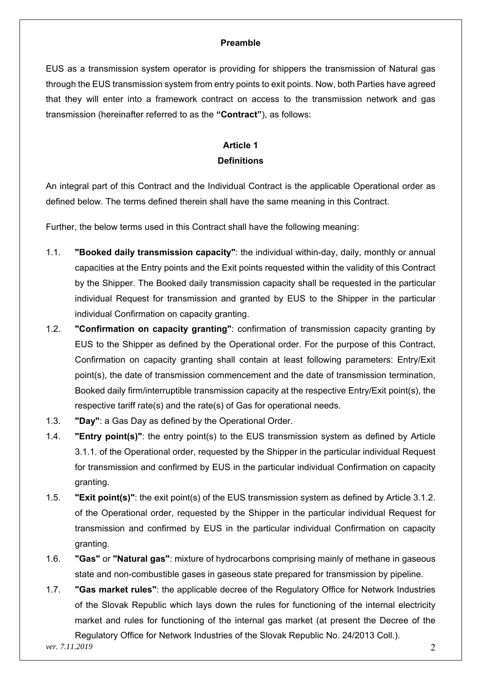#### **Preamble**

EUS as a transmission system operator is providing for shippers the transmission of Natural gas through the EUS transmission system from entry points to exit points. Now, both Parties have agreed that they will enter into a framework contract on access to the transmission network and gas transmission (hereinafter referred to as the **"Contract"**), as follows:

### **Article 1 Definitions**

An integral part of this Contract and the Individual Contract is the applicable Operational order as defined below. The terms defined therein shall have the same meaning in this Contract.

Further, the below terms used in this Contract shall have the following meaning:

- 1.1. **"Booked daily transmission capacity"**: the individual within-day, daily, monthly or annual capacities at the Entry points and the Exit points requested within the validity of this Contract by the Shipper. The Booked daily transmission capacity shall be requested in the particular individual Request for transmission and granted by EUS to the Shipper in the particular individual Confirmation on capacity granting.
- 1.2. **"Confirmation on capacity granting"**: confirmation of transmission capacity granting by EUS to the Shipper as defined by the Operational order. For the purpose of this Contract, Confirmation on capacity granting shall contain at least following parameters: Entry/Exit point(s), the date of transmission commencement and the date of transmission termination, Booked daily firm/interruptible transmission capacity at the respective Entry/Exit point(s), the respective tariff rate(s) and the rate(s) of Gas for operational needs.
- 1.3. **"Day"**: a Gas Day as defined by the Operational Order.
- 1.4. **"Entry point(s)"**: the entry point(s) to the EUS transmission system as defined by Article 3.1.1. of the Operational order, requested by the Shipper in the particular individual Request for transmission and confirmed by EUS in the particular individual Confirmation on capacity granting.
- 1.5. **"Exit point(s)"**: the exit point(s) of the EUS transmission system as defined by Article 3.1.2. of the Operational order, requested by the Shipper in the particular individual Request for transmission and confirmed by EUS in the particular individual Confirmation on capacity granting.
- 1.6. **"Gas"** or **"Natural gas"**: mixture of hydrocarbons comprising mainly of methane in gaseous state and non-combustible gases in gaseous state prepared for transmission by pipeline.
- 1.7. **"Gas market rules"**: the applicable decree of the Regulatory Office for Network Industries of the Slovak Republic which lays down the rules for functioning of the internal electricity market and rules for functioning of the internal gas market (at present the Decree of the Regulatory Office for Network Industries of the Slovak Republic No. 24/2013 Coll.).

*ver. 7.11.2019* 2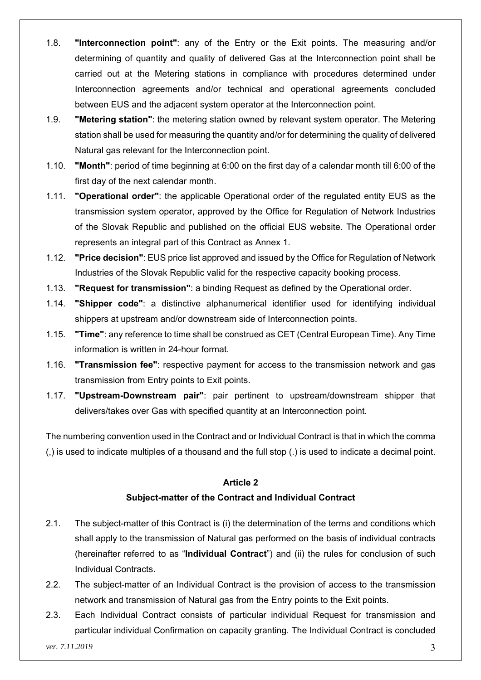- 1.8. **"Interconnection point"**: any of the Entry or the Exit points. The measuring and/or determining of quantity and quality of delivered Gas at the Interconnection point shall be carried out at the Metering stations in compliance with procedures determined under Interconnection agreements and/or technical and operational agreements concluded between EUS and the adjacent system operator at the Interconnection point.
- 1.9. **"Metering station"**: the metering station owned by relevant system operator. The Metering station shall be used for measuring the quantity and/or for determining the quality of delivered Natural gas relevant for the Interconnection point.
- 1.10. **"Month"**: period of time beginning at 6:00 on the first day of a calendar month till 6:00 of the first day of the next calendar month.
- 1.11. **"Operational order"**: the applicable Operational order of the regulated entity EUS as the transmission system operator, approved by the Office for Regulation of Network Industries of the Slovak Republic and published on the official EUS website. The Operational order represents an integral part of this Contract as Annex 1.
- 1.12. **"Price decision"**: EUS price list approved and issued by the Office for Regulation of Network Industries of the Slovak Republic valid for the respective capacity booking process.
- 1.13. **"Request for transmission"**: a binding Request as defined by the Operational order.
- 1.14. **"Shipper code"**: a distinctive alphanumerical identifier used for identifying individual shippers at upstream and/or downstream side of Interconnection points.
- 1.15. **"Time"**: any reference to time shall be construed as CET (Central European Time). Any Time information is written in 24-hour format.
- 1.16. **"Transmission fee"**: respective payment for access to the transmission network and gas transmission from Entry points to Exit points.
- 1.17. **"Upstream-Downstream pair"**: pair pertinent to upstream/downstream shipper that delivers/takes over Gas with specified quantity at an Interconnection point.

The numbering convention used in the Contract and or Individual Contract is that in which the comma (,) is used to indicate multiples of a thousand and the full stop (.) is used to indicate a decimal point.

#### **Article 2**

#### **Subject-matter of the Contract and Individual Contract**

- 2.1. The subject-matter of this Contract is (i) the determination of the terms and conditions which shall apply to the transmission of Natural gas performed on the basis of individual contracts (hereinafter referred to as "**Individual Contract**") and (ii) the rules for conclusion of such Individual Contracts.
- 2.2. The subject-matter of an Individual Contract is the provision of access to the transmission network and transmission of Natural gas from the Entry points to the Exit points.
- 2.3. Each Individual Contract consists of particular individual Request for transmission and particular individual Confirmation on capacity granting. The Individual Contract is concluded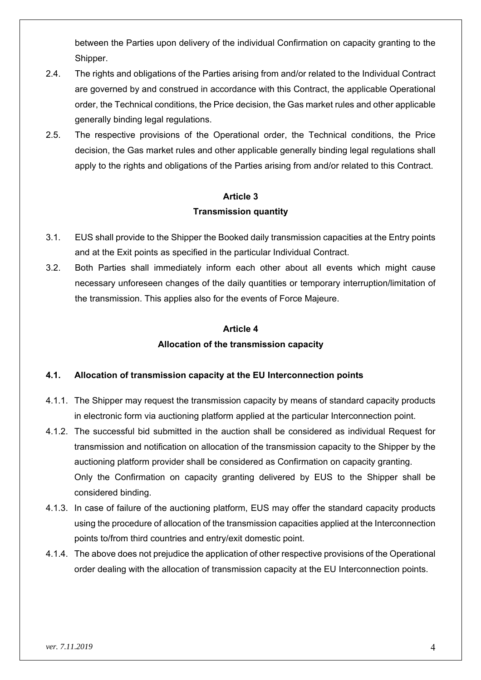between the Parties upon delivery of the individual Confirmation on capacity granting to the Shipper.

- 2.4. The rights and obligations of the Parties arising from and/or related to the Individual Contract are governed by and construed in accordance with this Contract, the applicable Operational order, the Technical conditions, the Price decision, the Gas market rules and other applicable generally binding legal regulations.
- 2.5. The respective provisions of the Operational order, the Technical conditions, the Price decision, the Gas market rules and other applicable generally binding legal regulations shall apply to the rights and obligations of the Parties arising from and/or related to this Contract.

#### **Article 3**

#### **Transmission quantity**

- 3.1. EUS shall provide to the Shipper the Booked daily transmission capacities at the Entry points and at the Exit points as specified in the particular Individual Contract.
- 3.2. Both Parties shall immediately inform each other about all events which might cause necessary unforeseen changes of the daily quantities or temporary interruption/limitation of the transmission. This applies also for the events of Force Majeure.

#### **Article 4**

#### **Allocation of the transmission capacity**

#### **4.1. Allocation of transmission capacity at the EU Interconnection points**

- 4.1.1. The Shipper may request the transmission capacity by means of standard capacity products in electronic form via auctioning platform applied at the particular Interconnection point.
- 4.1.2. The successful bid submitted in the auction shall be considered as individual Request for transmission and notification on allocation of the transmission capacity to the Shipper by the auctioning platform provider shall be considered as Confirmation on capacity granting. Only the Confirmation on capacity granting delivered by EUS to the Shipper shall be considered binding.
- 4.1.3. In case of failure of the auctioning platform, EUS may offer the standard capacity products using the procedure of allocation of the transmission capacities applied at the Interconnection points to/from third countries and entry/exit domestic point.
- 4.1.4. The above does not prejudice the application of other respective provisions of the Operational order dealing with the allocation of transmission capacity at the EU Interconnection points.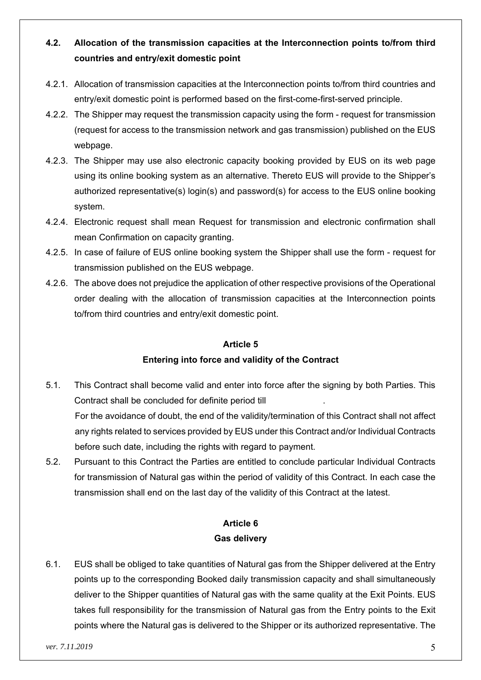# **4.2. Allocation of the transmission capacities at the Interconnection points to/from third countries and entry/exit domestic point**

- 4.2.1. Allocation of transmission capacities at the Interconnection points to/from third countries and entry/exit domestic point is performed based on the first-come-first-served principle.
- 4.2.2. The Shipper may request the transmission capacity using the form request for transmission (request for access to the transmission network and gas transmission) published on the EUS webpage.
- 4.2.3. The Shipper may use also electronic capacity booking provided by EUS on its web page using its online booking system as an alternative. Thereto EUS will provide to the Shipper's authorized representative(s) login(s) and password(s) for access to the EUS online booking system.
- 4.2.4. Electronic request shall mean Request for transmission and electronic confirmation shall mean Confirmation on capacity granting.
- 4.2.5. In case of failure of EUS online booking system the Shipper shall use the form request for transmission published on the EUS webpage.
- 4.2.6. The above does not prejudice the application of other respective provisions of the Operational order dealing with the allocation of transmission capacities at the Interconnection points to/from third countries and entry/exit domestic point.

#### **Article 5**

#### **Entering into force and validity of the Contract**

- 5.1. This Contract shall become valid and enter into force after the signing by both Parties. This Contract shall be concluded for definite period till . For the avoidance of doubt, the end of the validity/termination of this Contract shall not affect any rights related to services provided by EUS under this Contract and/or Individual Contracts before such date, including the rights with regard to payment.
- 5.2. Pursuant to this Contract the Parties are entitled to conclude particular Individual Contracts for transmission of Natural gas within the period of validity of this Contract. In each case the transmission shall end on the last day of the validity of this Contract at the latest.

### **Article 6 Gas delivery**

6.1. EUS shall be obliged to take quantities of Natural gas from the Shipper delivered at the Entry points up to the corresponding Booked daily transmission capacity and shall simultaneously deliver to the Shipper quantities of Natural gas with the same quality at the Exit Points. EUS takes full responsibility for the transmission of Natural gas from the Entry points to the Exit points where the Natural gas is delivered to the Shipper or its authorized representative. The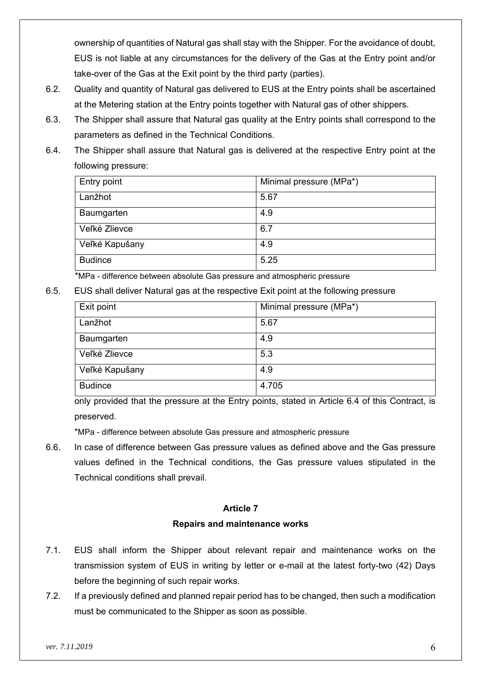ownership of quantities of Natural gas shall stay with the Shipper. For the avoidance of doubt, EUS is not liable at any circumstances for the delivery of the Gas at the Entry point and/or take-over of the Gas at the Exit point by the third party (parties).

- 6.2. Quality and quantity of Natural gas delivered to EUS at the Entry points shall be ascertained at the Metering station at the Entry points together with Natural gas of other shippers.
- 6.3. The Shipper shall assure that Natural gas quality at the Entry points shall correspond to the parameters as defined in the Technical Conditions.
- 6.4. The Shipper shall assure that Natural gas is delivered at the respective Entry point at the following pressure:

| Entry point    | Minimal pressure (MPa*) |
|----------------|-------------------------|
| Lanžhot        | 5.67                    |
| Baumgarten     | 4.9                     |
| Veľké Zlievce  | 6.7                     |
| Veľké Kapušany | 4.9                     |
| <b>Budince</b> | 5.25                    |

\*MPa - difference between absolute Gas pressure and atmospheric pressure

6.5. EUS shall deliver Natural gas at the respective Exit point at the following pressure

| Exit point     | Minimal pressure (MPa*) |
|----------------|-------------------------|
| Lanžhot        | 5.67                    |
| Baumgarten     | 4.9                     |
| Veľké Zlievce  | 5.3                     |
| Veľké Kapušany | 4.9                     |
| <b>Budince</b> | 4.705                   |

only provided that the pressure at the Entry points, stated in Article 6.4 of this Contract, is preserved.

\*MPa - difference between absolute Gas pressure and atmospheric pressure

6.6. In case of difference between Gas pressure values as defined above and the Gas pressure values defined in the Technical conditions, the Gas pressure values stipulated in the Technical conditions shall prevail.

#### **Article 7**

#### **Repairs and maintenance works**

- 7.1. EUS shall inform the Shipper about relevant repair and maintenance works on the transmission system of EUS in writing by letter or e-mail at the latest forty-two (42) Days before the beginning of such repair works.
- 7.2. If a previously defined and planned repair period has to be changed, then such a modification must be communicated to the Shipper as soon as possible.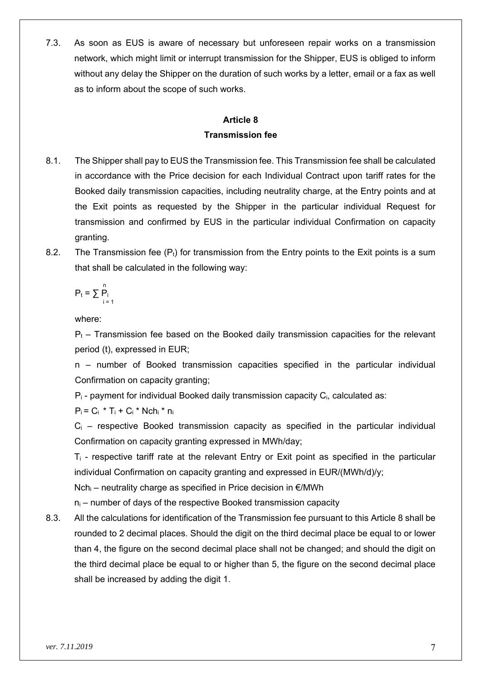7.3. As soon as EUS is aware of necessary but unforeseen repair works on a transmission network, which might limit or interrupt transmission for the Shipper, EUS is obliged to inform without any delay the Shipper on the duration of such works by a letter, email or a fax as well as to inform about the scope of such works.

### **Article 8 Transmission fee**

- 8.1. The Shipper shall pay to EUS the Transmission fee. This Transmission fee shall be calculated in accordance with the Price decision for each Individual Contract upon tariff rates for the Booked daily transmission capacities, including neutrality charge, at the Entry points and at the Exit points as requested by the Shipper in the particular individual Request for transmission and confirmed by EUS in the particular individual Confirmation on capacity granting.
- 8.2. The Transmission fee  $(P_t)$  for transmission from the Entry points to the Exit points is a sum that shall be calculated in the following way:

$$
P_t = \sum_{i=1}^n P_i
$$

where:

 $P<sub>t</sub>$  – Transmission fee based on the Booked daily transmission capacities for the relevant period (t), expressed in EUR;

n – number of Booked transmission capacities specified in the particular individual Confirmation on capacity granting;

Pi - payment for individual Booked daily transmission capacity Ci, calculated as:

 $P_i = C_i * T_i + C_i * Nch_i * n_i$ 

 $C_i$  – respective Booked transmission capacity as specified in the particular individual Confirmation on capacity granting expressed in MWh/day;

 $T_i$  - respective tariff rate at the relevant Entry or Exit point as specified in the particular individual Confirmation on capacity granting and expressed in EUR/(MWh/d)/y;

 $Nch_i$  – neutrality charge as specified in Price decision in  $\epsilon$ /MWh

 $n_i$  – number of days of the respective Booked transmission capacity

8.3. All the calculations for identification of the Transmission fee pursuant to this Article 8 shall be rounded to 2 decimal places. Should the digit on the third decimal place be equal to or lower than 4, the figure on the second decimal place shall not be changed; and should the digit on the third decimal place be equal to or higher than 5, the figure on the second decimal place shall be increased by adding the digit 1.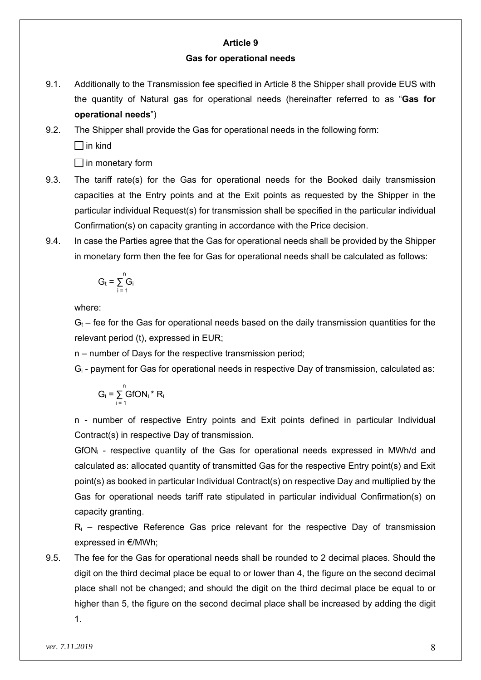### **Article 9**

#### **Gas for operational needs**

9.1. Additionally to the Transmission fee specified in Article 8 the Shipper shall provide EUS with the quantity of Natural gas for operational needs (hereinafter referred to as "**Gas for operational needs**")

# 9.2. The Shipper shall provide the Gas for operational needs in the following form:  $\Box$  in kind

 $\Box$  in monetary form

- 9.3. The tariff rate(s) for the Gas for operational needs for the Booked daily transmission capacities at the Entry points and at the Exit points as requested by the Shipper in the particular individual Request(s) for transmission shall be specified in the particular individual Confirmation(s) on capacity granting in accordance with the Price decision.
- 9.4. In case the Parties agree that the Gas for operational needs shall be provided by the Shipper in monetary form then the fee for Gas for operational needs shall be calculated as follows:

$$
G_t = \sum_{i=1}^n G_i
$$

where:

 $G<sub>t</sub>$  – fee for the Gas for operational needs based on the daily transmission quantities for the relevant period (t), expressed in EUR;

n – number of Days for the respective transmission period;

Gi - payment for Gas for operational needs in respective Day of transmission, calculated as:

$$
G_i = \sum_{i=1}^n GfON_i * R_i
$$

n - number of respective Entry points and Exit points defined in particular Individual Contract(s) in respective Day of transmission.

GfONi - respective quantity of the Gas for operational needs expressed in MWh/d and calculated as: allocated quantity of transmitted Gas for the respective Entry point(s) and Exit point(s) as booked in particular Individual Contract(s) on respective Day and multiplied by the Gas for operational needs tariff rate stipulated in particular individual Confirmation(s) on capacity granting.

 $R_i$  – respective Reference Gas price relevant for the respective Day of transmission expressed in €/MWh;

9.5. The fee for the Gas for operational needs shall be rounded to 2 decimal places. Should the digit on the third decimal place be equal to or lower than 4, the figure on the second decimal place shall not be changed; and should the digit on the third decimal place be equal to or higher than 5, the figure on the second decimal place shall be increased by adding the digit

1.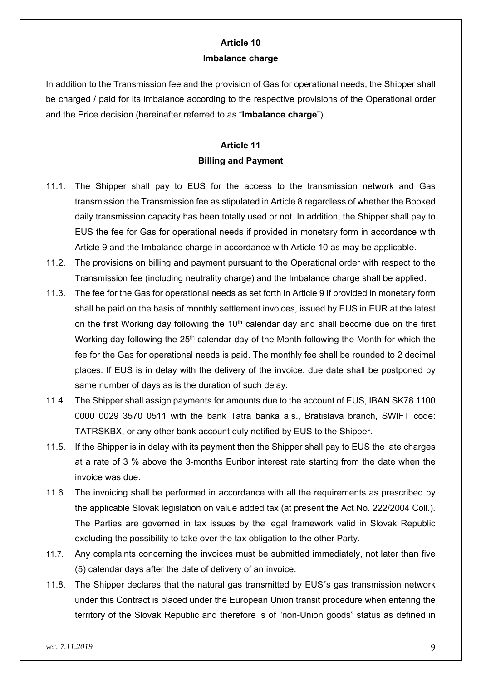### **Article 10 Imbalance charge**

In addition to the Transmission fee and the provision of Gas for operational needs, the Shipper shall be charged / paid for its imbalance according to the respective provisions of the Operational order and the Price decision (hereinafter referred to as "**Imbalance charge**").

### **Article 11 Billing and Payment**

- 11.1. The Shipper shall pay to EUS for the access to the transmission network and Gas transmission the Transmission fee as stipulated in Article 8 regardless of whether the Booked daily transmission capacity has been totally used or not. In addition, the Shipper shall pay to EUS the fee for Gas for operational needs if provided in monetary form in accordance with Article 9 and the Imbalance charge in accordance with Article 10 as may be applicable.
- 11.2. The provisions on billing and payment pursuant to the Operational order with respect to the Transmission fee (including neutrality charge) and the Imbalance charge shall be applied.
- 11.3. The fee for the Gas for operational needs as set forth in Article 9 if provided in monetary form shall be paid on the basis of monthly settlement invoices, issued by EUS in EUR at the latest on the first Working day following the 10<sup>th</sup> calendar day and shall become due on the first Working day following the  $25<sup>th</sup>$  calendar day of the Month following the Month for which the fee for the Gas for operational needs is paid. The monthly fee shall be rounded to 2 decimal places. If EUS is in delay with the delivery of the invoice, due date shall be postponed by same number of days as is the duration of such delay.
- 11.4. The Shipper shall assign payments for amounts due to the account of EUS, IBAN SK78 1100 0000 0029 3570 0511 with the bank Tatra banka a.s., Bratislava branch, SWIFT code: TATRSKBX, or any other bank account duly notified by EUS to the Shipper.
- 11.5. If the Shipper is in delay with its payment then the Shipper shall pay to EUS the late charges at a rate of 3 % above the 3-months Euribor interest rate starting from the date when the invoice was due.
- 11.6. The invoicing shall be performed in accordance with all the requirements as prescribed by the applicable Slovak legislation on value added tax (at present the Act No. 222/2004 Coll.). The Parties are governed in tax issues by the legal framework valid in Slovak Republic excluding the possibility to take over the tax obligation to the other Party.
- 11.7. Any complaints concerning the invoices must be submitted immediately, not later than five (5) calendar days after the date of delivery of an invoice.
- 11.8. The Shipper declares that the natural gas transmitted by EUS´s gas transmission network under this Contract is placed under the European Union transit procedure when entering the territory of the Slovak Republic and therefore is of "non-Union goods" status as defined in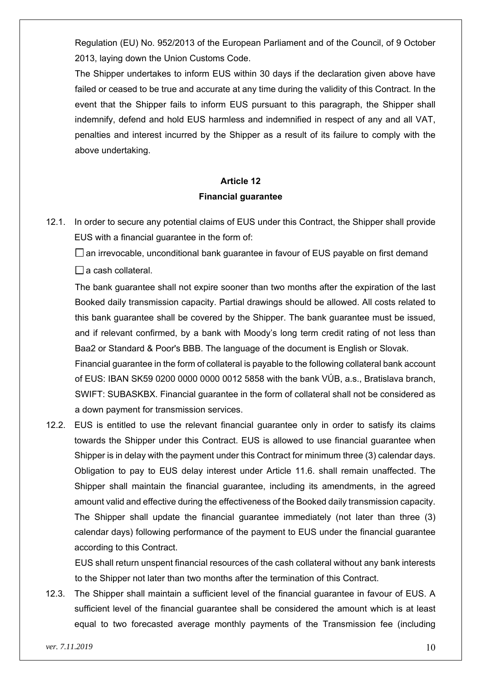Regulation (EU) No. 952/2013 of the European Parliament and of the Council, of 9 October 2013, laying down the Union Customs Code.

The Shipper undertakes to inform EUS within 30 days if the declaration given above have failed or ceased to be true and accurate at any time during the validity of this Contract. In the event that the Shipper fails to inform EUS pursuant to this paragraph, the Shipper shall indemnify, defend and hold EUS harmless and indemnified in respect of any and all VAT, penalties and interest incurred by the Shipper as a result of its failure to comply with the above undertaking.

## **Article 12 Financial guarantee**

12.1. In order to secure any potential claims of EUS under this Contract, the Shipper shall provide EUS with a financial guarantee in the form of:

 $\square$  an irrevocable, unconditional bank quarantee in favour of EUS payable on first demand  $\Box$  a cash collateral.

The bank guarantee shall not expire sooner than two months after the expiration of the last Booked daily transmission capacity. Partial drawings should be allowed. All costs related to this bank guarantee shall be covered by the Shipper. The bank guarantee must be issued, and if relevant confirmed, by a bank with Moody's long term credit rating of not less than Baa2 or Standard & Poor's BBB. The language of the document is English or Slovak.

Financial guarantee in the form of collateral is payable to the following collateral bank account of EUS: IBAN SK59 0200 0000 0000 0012 5858 with the bank VÚB, a.s., Bratislava branch, SWIFT: SUBASKBX. Financial guarantee in the form of collateral shall not be considered as a down payment for transmission services.

12.2. EUS is entitled to use the relevant financial guarantee only in order to satisfy its claims towards the Shipper under this Contract. EUS is allowed to use financial guarantee when Shipper is in delay with the payment under this Contract for minimum three (3) calendar days. Obligation to pay to EUS delay interest under Article 11.6. shall remain unaffected. The Shipper shall maintain the financial guarantee, including its amendments, in the agreed amount valid and effective during the effectiveness of the Booked daily transmission capacity. The Shipper shall update the financial guarantee immediately (not later than three (3) calendar days) following performance of the payment to EUS under the financial guarantee according to this Contract.

EUS shall return unspent financial resources of the cash collateral without any bank interests to the Shipper not later than two months after the termination of this Contract.

12.3. The Shipper shall maintain a sufficient level of the financial guarantee in favour of EUS. A sufficient level of the financial guarantee shall be considered the amount which is at least equal to two forecasted average monthly payments of the Transmission fee (including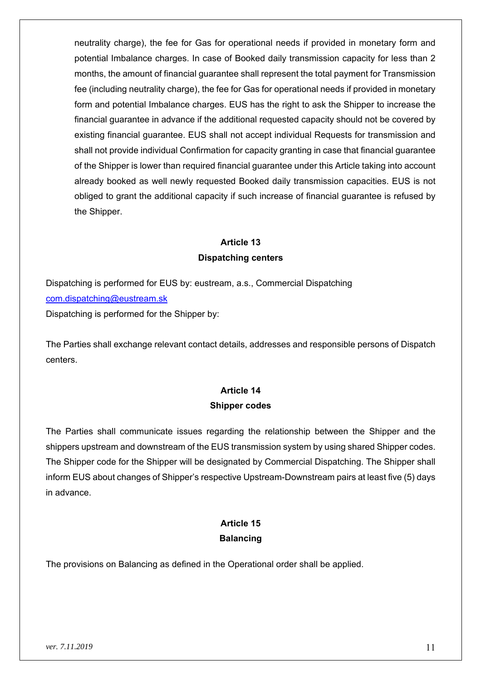neutrality charge), the fee for Gas for operational needs if provided in monetary form and potential Imbalance charges. In case of Booked daily transmission capacity for less than 2 months, the amount of financial guarantee shall represent the total payment for Transmission fee (including neutrality charge), the fee for Gas for operational needs if provided in monetary form and potential Imbalance charges. EUS has the right to ask the Shipper to increase the financial guarantee in advance if the additional requested capacity should not be covered by existing financial guarantee. EUS shall not accept individual Requests for transmission and shall not provide individual Confirmation for capacity granting in case that financial guarantee of the Shipper is lower than required financial guarantee under this Article taking into account already booked as well newly requested Booked daily transmission capacities. EUS is not obliged to grant the additional capacity if such increase of financial guarantee is refused by the Shipper.

# **Article 13 Dispatching centers**

Dispatching is performed for EUS by: eustream, a.s., Commercial Dispatching com.dispatching@eustream.sk Dispatching is performed for the Shipper by:

The Parties shall exchange relevant contact details, addresses and responsible persons of Dispatch centers.

# **Article 14 Shipper codes**

The Parties shall communicate issues regarding the relationship between the Shipper and the shippers upstream and downstream of the EUS transmission system by using shared Shipper codes. The Shipper code for the Shipper will be designated by Commercial Dispatching. The Shipper shall inform EUS about changes of Shipper's respective Upstream-Downstream pairs at least five (5) days in advance.

# **Article 15 Balancing**

The provisions on Balancing as defined in the Operational order shall be applied.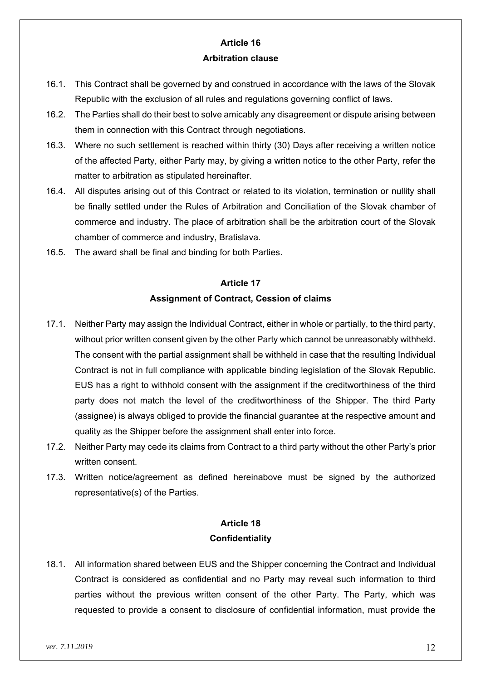### **Article 16 Arbitration clause**

- 16.1. This Contract shall be governed by and construed in accordance with the laws of the Slovak Republic with the exclusion of all rules and regulations governing conflict of laws.
- 16.2. The Parties shall do their best to solve amicably any disagreement or dispute arising between them in connection with this Contract through negotiations.
- 16.3. Where no such settlement is reached within thirty (30) Days after receiving a written notice of the affected Party, either Party may, by giving a written notice to the other Party, refer the matter to arbitration as stipulated hereinafter.
- 16.4. All disputes arising out of this Contract or related to its violation, termination or nullity shall be finally settled under the Rules of Arbitration and Conciliation of the Slovak chamber of commerce and industry. The place of arbitration shall be the arbitration court of the Slovak chamber of commerce and industry, Bratislava.
- 16.5. The award shall be final and binding for both Parties.

# **Article 17 Assignment of Contract, Cession of claims**

- 17.1. Neither Party may assign the Individual Contract, either in whole or partially, to the third party, without prior written consent given by the other Party which cannot be unreasonably withheld. The consent with the partial assignment shall be withheld in case that the resulting Individual Contract is not in full compliance with applicable binding legislation of the Slovak Republic. EUS has a right to withhold consent with the assignment if the creditworthiness of the third party does not match the level of the creditworthiness of the Shipper. The third Party (assignee) is always obliged to provide the financial guarantee at the respective amount and quality as the Shipper before the assignment shall enter into force.
- 17.2. Neither Party may cede its claims from Contract to a third party without the other Party's prior written consent.
- 17.3. Written notice/agreement as defined hereinabove must be signed by the authorized representative(s) of the Parties.

### **Article 18 Confidentiality**

18.1. All information shared between EUS and the Shipper concerning the Contract and Individual Contract is considered as confidential and no Party may reveal such information to third parties without the previous written consent of the other Party. The Party, which was requested to provide a consent to disclosure of confidential information, must provide the